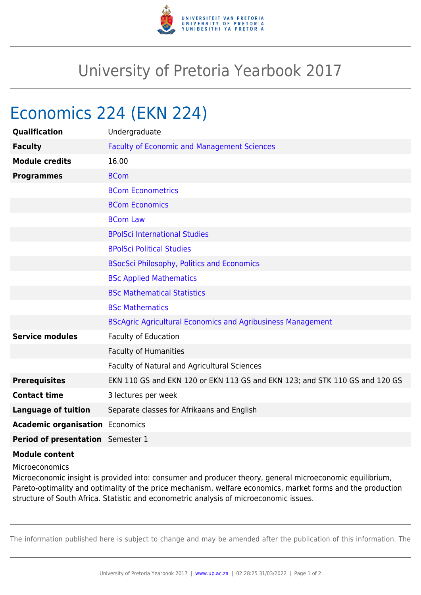

## University of Pretoria Yearbook 2017

## Economics 224 (EKN 224)

| Qualification                          | Undergraduate                                                               |
|----------------------------------------|-----------------------------------------------------------------------------|
| <b>Faculty</b>                         | <b>Faculty of Economic and Management Sciences</b>                          |
| <b>Module credits</b>                  | 16.00                                                                       |
| <b>Programmes</b>                      | <b>BCom</b>                                                                 |
|                                        | <b>BCom Econometrics</b>                                                    |
|                                        | <b>BCom Economics</b>                                                       |
|                                        | <b>BCom Law</b>                                                             |
|                                        | <b>BPolSci International Studies</b>                                        |
|                                        | <b>BPolSci Political Studies</b>                                            |
|                                        | <b>BSocSci Philosophy, Politics and Economics</b>                           |
|                                        | <b>BSc Applied Mathematics</b>                                              |
|                                        | <b>BSc Mathematical Statistics</b>                                          |
|                                        | <b>BSc Mathematics</b>                                                      |
|                                        | <b>BScAgric Agricultural Economics and Agribusiness Management</b>          |
| <b>Service modules</b>                 | <b>Faculty of Education</b>                                                 |
|                                        | <b>Faculty of Humanities</b>                                                |
|                                        | Faculty of Natural and Agricultural Sciences                                |
| <b>Prerequisites</b>                   | EKN 110 GS and EKN 120 or EKN 113 GS and EKN 123; and STK 110 GS and 120 GS |
| <b>Contact time</b>                    | 3 lectures per week                                                         |
| <b>Language of tuition</b>             | Separate classes for Afrikaans and English                                  |
| <b>Academic organisation Economics</b> |                                                                             |
| Period of presentation Semester 1      |                                                                             |
|                                        |                                                                             |

## **Module content**

Microeconomics

Microeconomic insight is provided into: consumer and producer theory, general microeconomic equilibrium, Pareto-optimality and optimality of the price mechanism, welfare economics, market forms and the production structure of South Africa. Statistic and econometric analysis of microeconomic issues.

The information published here is subject to change and may be amended after the publication of this information. The